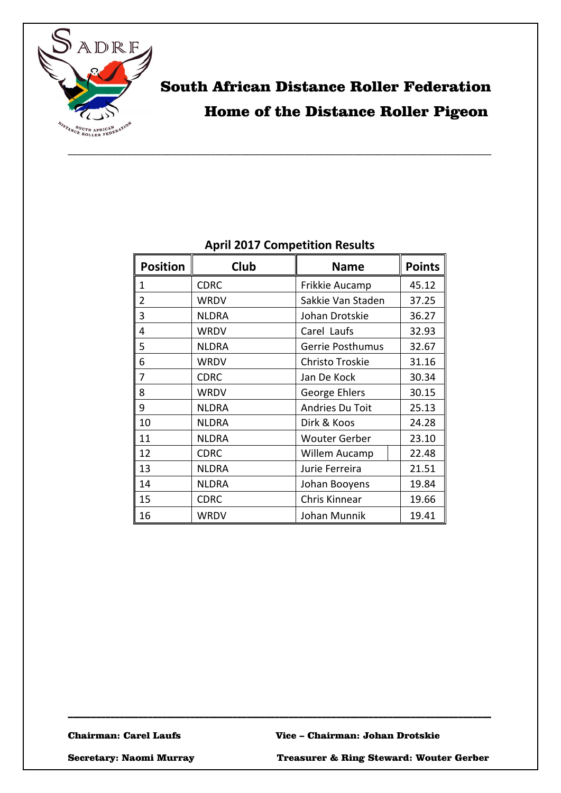

# South African Distance Roller Federation Home of the Distance Roller Pigeon

## **April 2017 Competition Results**

| <b>Position</b> | Club         | <b>Name</b>          | <b>Points</b> |
|-----------------|--------------|----------------------|---------------|
| 1               | <b>CDRC</b>  | Frikkie Aucamp       | 45.12         |
| $\overline{2}$  | <b>WRDV</b>  | Sakkie Van Staden    | 37.25         |
| 3               | <b>NLDRA</b> | Johan Drotskie       | 36.27         |
| 4               | <b>WRDV</b>  | Carel Laufs          | 32.93         |
| 5               | <b>NLDRA</b> | Gerrie Posthumus     | 32.67         |
| 6               | <b>WRDV</b>  | Christo Troskie      | 31.16         |
| 7               | <b>CDRC</b>  | Jan De Kock          | 30.34         |
| 8               | <b>WRDV</b>  | George Ehlers        | 30.15         |
| 9               | <b>NLDRA</b> | Andries Du Toit      | 25.13         |
| 10              | <b>NLDRA</b> | Dirk & Koos          | 24.28         |
| 11              | <b>NLDRA</b> | <b>Wouter Gerber</b> | 23.10         |
| 12              | <b>CDRC</b>  | Willem Aucamp        | 22.48         |
| 13              | <b>NLDRA</b> | Jurie Ferreira       | 21.51         |
| 14              | <b>NLDRA</b> | Johan Booyens        | 19.84         |
| 15              | <b>CDRC</b>  | Chris Kinnear        | 19.66         |
| 16              | <b>WRDV</b>  | Johan Munnik         | 19.41         |

\_\_\_\_\_\_\_\_\_\_\_\_\_\_\_\_\_\_\_\_\_\_\_\_\_\_\_\_\_\_\_\_\_\_\_\_\_\_\_\_\_\_\_\_\_\_\_\_\_\_\_\_\_\_\_\_\_\_\_\_\_\_\_\_\_\_\_\_\_\_\_\_\_\_\_\_\_\_\_\_\_\_\_\_\_\_\_\_\_\_

Chairman: Carel Laufs Vice – Chairman: Johan Drotskie

Secretary: Naomi Murray Treasurer & Ring Steward: Wouter Gerber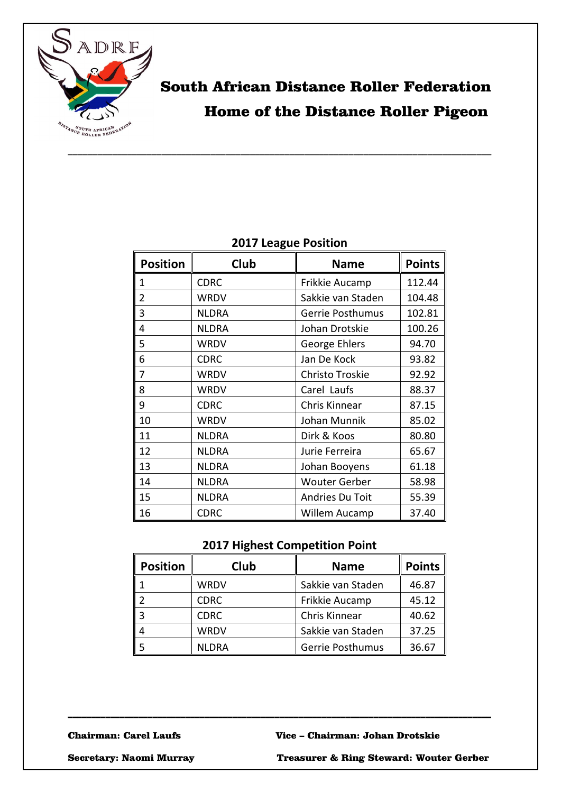

# South African Distance Roller Federation Home of the Distance Roller Pigeon

### **2017 League Position**

| <b>Position</b> | Club         | <b>Name</b>             | <b>Points</b> |
|-----------------|--------------|-------------------------|---------------|
| 1               | <b>CDRC</b>  | Frikkie Aucamp          | 112.44        |
| $\overline{2}$  | <b>WRDV</b>  | Sakkie van Staden       | 104.48        |
| 3               | <b>NLDRA</b> | <b>Gerrie Posthumus</b> | 102.81        |
| 4               | <b>NLDRA</b> | Johan Drotskie          | 100.26        |
| 5               | WRDV         | George Ehlers           | 94.70         |
| 6               | <b>CDRC</b>  | Jan De Kock             | 93.82         |
| 7               | <b>WRDV</b>  | Christo Troskie         | 92.92         |
| 8               | <b>WRDV</b>  | Carel Laufs             | 88.37         |
| 9               | <b>CDRC</b>  | Chris Kinnear           | 87.15         |
| 10              | <b>WRDV</b>  | Johan Munnik            | 85.02         |
| 11              | <b>NLDRA</b> | Dirk & Koos             | 80.80         |
| 12              | <b>NLDRA</b> | Jurie Ferreira          | 65.67         |
| 13              | <b>NLDRA</b> | Johan Booyens           | 61.18         |
| 14              | <b>NLDRA</b> | <b>Wouter Gerber</b>    | 58.98         |
| 15              | <b>NLDRA</b> | Andries Du Toit         | 55.39         |
| 16              | <b>CDRC</b>  | Willem Aucamp           | 37.40         |

#### **2017 Highest Competition Point**

| <b>Position</b> | Club         | <b>Name</b>       | <b>Points</b> |
|-----------------|--------------|-------------------|---------------|
|                 | <b>WRDV</b>  | Sakkie van Staden | 46.87         |
|                 | <b>CDRC</b>  | Frikkie Aucamp    | 45.12         |
| 3               | <b>CDRC</b>  | Chris Kinnear     | 40.62         |
|                 | <b>WRDV</b>  | Sakkie van Staden | 37.25         |
|                 | <b>NLDRA</b> | Gerrie Posthumus  | 36.67         |

\_\_\_\_\_\_\_\_\_\_\_\_\_\_\_\_\_\_\_\_\_\_\_\_\_\_\_\_\_\_\_\_\_\_\_\_\_\_\_\_\_\_\_\_\_\_\_\_\_\_\_\_\_\_\_\_\_\_\_\_\_\_\_\_\_\_\_\_\_\_\_\_\_\_\_\_\_\_\_\_\_\_\_\_\_\_\_\_\_\_

Chairman: Carel Laufs Vice – Chairman: Johan Drotskie

Secretary: Naomi Murray Treasurer & Ring Steward: Wouter Gerber